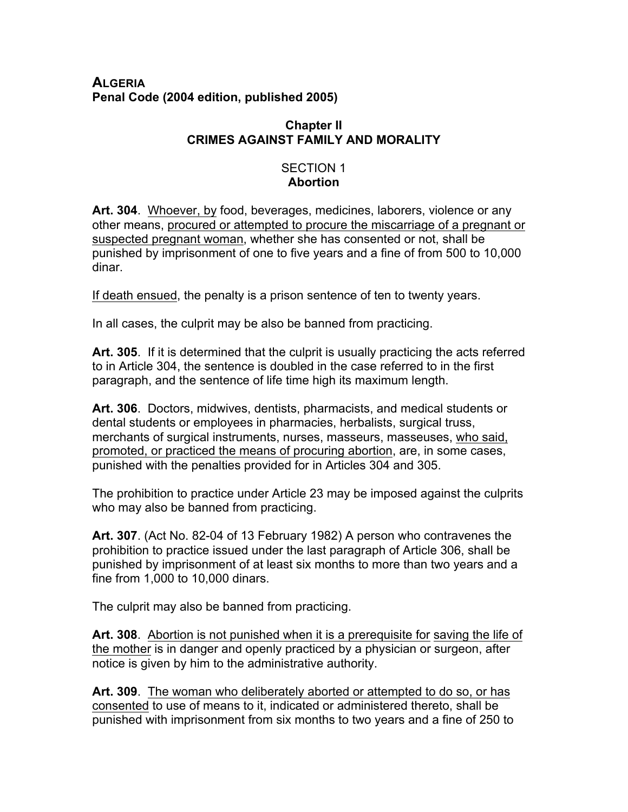### **ALGERIA Penal Code (2004 edition, published 2005)**

# **Chapter II CRIMES AGAINST FAMILY AND MORALITY**

#### SECTION 1 **Abortion**

**Art. 304**. Whoever, by food, beverages, medicines, laborers, violence or any other means, procured or attempted to procure the miscarriage of a pregnant or suspected pregnant woman, whether she has consented or not, shall be punished by imprisonment of one to five years and a fine of from 500 to 10,000 dinar.

If death ensued, the penalty is a prison sentence of ten to twenty years.

In all cases, the culprit may be also be banned from practicing.

**Art. 305**. If it is determined that the culprit is usually practicing the acts referred to in Article 304, the sentence is doubled in the case referred to in the first paragraph, and the sentence of life time high its maximum length.

**Art. 306**. Doctors, midwives, dentists, pharmacists, and medical students or dental students or employees in pharmacies, herbalists, surgical truss, merchants of surgical instruments, nurses, masseurs, masseuses, who said, promoted, or practiced the means of procuring abortion, are, in some cases, punished with the penalties provided for in Articles 304 and 305.

The prohibition to practice under Article 23 may be imposed against the culprits who may also be banned from practicing.

**Art. 307**. (Act No. 82-04 of 13 February 1982) A person who contravenes the prohibition to practice issued under the last paragraph of Article 306, shall be punished by imprisonment of at least six months to more than two years and a fine from 1,000 to 10,000 dinars.

The culprit may also be banned from practicing.

**Art. 308**. Abortion is not punished when it is a prerequisite for saving the life of the mother is in danger and openly practiced by a physician or surgeon, after notice is given by him to the administrative authority.

**Art. 309**. The woman who deliberately aborted or attempted to do so, or has consented to use of means to it, indicated or administered thereto, shall be punished with imprisonment from six months to two years and a fine of 250 to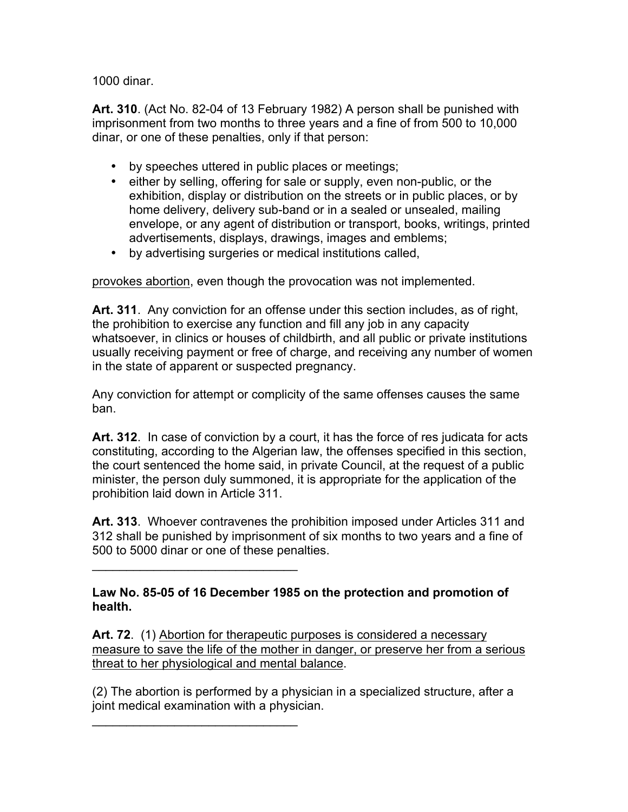1000 dinar.

**Art. 310**. (Act No. 82-04 of 13 February 1982) A person shall be punished with imprisonment from two months to three years and a fine of from 500 to 10,000 dinar, or one of these penalties, only if that person:

- by speeches uttered in public places or meetings;
- either by selling, offering for sale or supply, even non-public, or the exhibition, display or distribution on the streets or in public places, or by home delivery, delivery sub-band or in a sealed or unsealed, mailing envelope, or any agent of distribution or transport, books, writings, printed advertisements, displays, drawings, images and emblems;
- by advertising surgeries or medical institutions called,

provokes abortion, even though the provocation was not implemented.

**Art. 311**. Any conviction for an offense under this section includes, as of right, the prohibition to exercise any function and fill any job in any capacity whatsoever, in clinics or houses of childbirth, and all public or private institutions usually receiving payment or free of charge, and receiving any number of women in the state of apparent or suspected pregnancy.

Any conviction for attempt or complicity of the same offenses causes the same ban.

**Art. 312**. In case of conviction by a court, it has the force of res judicata for acts constituting, according to the Algerian law, the offenses specified in this section, the court sentenced the home said, in private Council, at the request of a public minister, the person duly summoned, it is appropriate for the application of the prohibition laid down in Article 311.

**Art. 313**. Whoever contravenes the prohibition imposed under Articles 311 and 312 shall be punished by imprisonment of six months to two years and a fine of 500 to 5000 dinar or one of these penalties.

**Law No. 85-05 of 16 December 1985 on the protection and promotion of health.**

 $\mathcal{L}=\{1,2,3,4,5\}$ 

 $\mathcal{L}_\text{max}$  and  $\mathcal{L}_\text{max}$  and  $\mathcal{L}_\text{max}$ 

**Art. 72**. (1) Abortion for therapeutic purposes is considered a necessary measure to save the life of the mother in danger, or preserve her from a serious threat to her physiological and mental balance.

(2) The abortion is performed by a physician in a specialized structure, after a joint medical examination with a physician.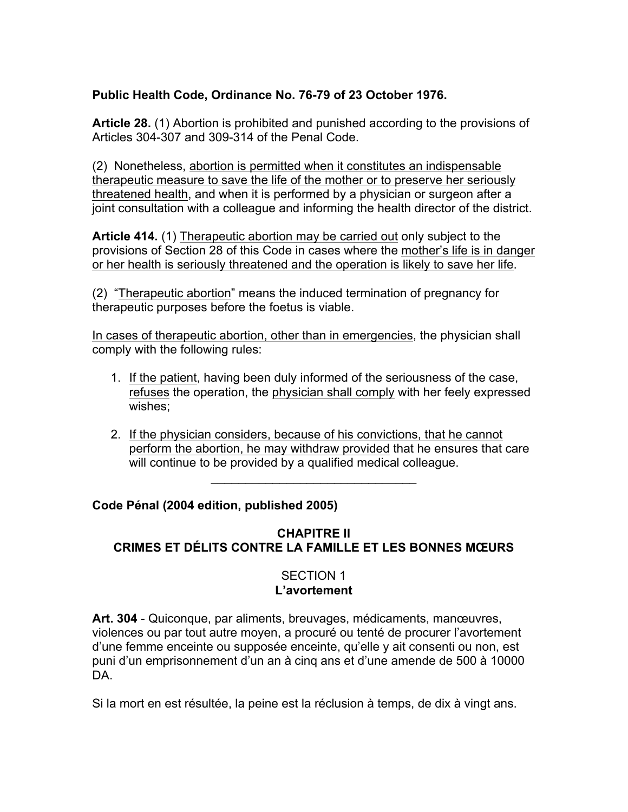# **Public Health Code, Ordinance No. 76-79 of 23 October 1976.**

**Article 28.** (1) Abortion is prohibited and punished according to the provisions of Articles 304-307 and 309-314 of the Penal Code.

(2) Nonetheless, abortion is permitted when it constitutes an indispensable therapeutic measure to save the life of the mother or to preserve her seriously threatened health, and when it is performed by a physician or surgeon after a joint consultation with a colleague and informing the health director of the district.

**Article 414.** (1) Therapeutic abortion may be carried out only subject to the provisions of Section 28 of this Code in cases where the mother's life is in danger or her health is seriously threatened and the operation is likely to save her life.

(2) "Therapeutic abortion" means the induced termination of pregnancy for therapeutic purposes before the foetus is viable.

In cases of therapeutic abortion, other than in emergencies, the physician shall comply with the following rules:

- 1. If the patient, having been duly informed of the seriousness of the case, refuses the operation, the physician shall comply with her feely expressed wishes;
- 2. If the physician considers, because of his convictions, that he cannot perform the abortion, he may withdraw provided that he ensures that care will continue to be provided by a qualified medical colleague.

**Code Pénal (2004 edition, published 2005)** 

# **CHAPITRE II CRIMES ET DÉLITS CONTRE LA FAMILLE ET LES BONNES MŒURS**

 $\mathcal{L}_\text{max}$  and  $\mathcal{L}_\text{max}$  and  $\mathcal{L}_\text{max}$  and  $\mathcal{L}_\text{max}$ 

### SECTION 1 **L'avortement**

**Art. 304** - Quiconque, par aliments, breuvages, médicaments, manœuvres, violences ou par tout autre moyen, a procuré ou tenté de procurer l'avortement d'une femme enceinte ou supposée enceinte, qu'elle y ait consenti ou non, est puni d'un emprisonnement d'un an à cinq ans et d'une amende de 500 à 10000 DA.

Si la mort en est résultée, la peine est la réclusion à temps, de dix à vingt ans.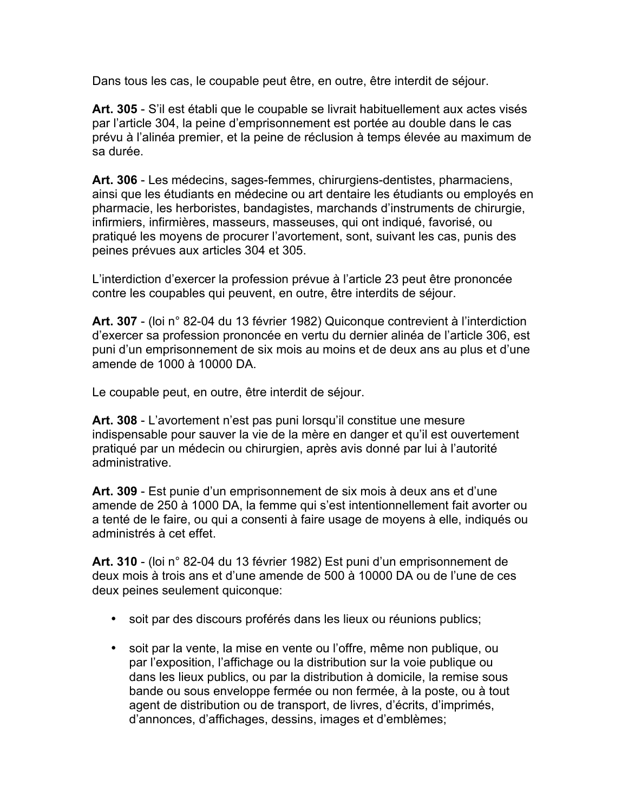Dans tous les cas, le coupable peut être, en outre, être interdit de séjour.

**Art. 305** - S'il est établi que le coupable se livrait habituellement aux actes visés par l'article 304, la peine d'emprisonnement est portée au double dans le cas prévu à l'alinéa premier, et la peine de réclusion à temps élevée au maximum de sa durée.

**Art. 306** - Les médecins, sages-femmes, chirurgiens-dentistes, pharmaciens, ainsi que les étudiants en médecine ou art dentaire les étudiants ou employés en pharmacie, les herboristes, bandagistes, marchands d'instruments de chirurgie, infirmiers, infirmières, masseurs, masseuses, qui ont indiqué, favorisé, ou pratiqué les moyens de procurer l'avortement, sont, suivant les cas, punis des peines prévues aux articles 304 et 305.

L'interdiction d'exercer la profession prévue à l'article 23 peut être prononcée contre les coupables qui peuvent, en outre, être interdits de séjour.

**Art. 307** - (loi n° 82-04 du 13 février 1982) Quiconque contrevient à l'interdiction d'exercer sa profession prononcée en vertu du dernier alinéa de l'article 306, est puni d'un emprisonnement de six mois au moins et de deux ans au plus et d'une amende de 1000 à 10000 DA.

Le coupable peut, en outre, être interdit de séjour.

**Art. 308** - L'avortement n'est pas puni lorsqu'il constitue une mesure indispensable pour sauver la vie de la mère en danger et qu'il est ouvertement pratiqué par un médecin ou chirurgien, après avis donné par lui à l'autorité administrative.

**Art. 309** - Est punie d'un emprisonnement de six mois à deux ans et d'une amende de 250 à 1000 DA, la femme qui s'est intentionnellement fait avorter ou a tenté de le faire, ou qui a consenti à faire usage de moyens à elle, indiqués ou administrés à cet effet.

**Art. 310** - (loi n° 82-04 du 13 février 1982) Est puni d'un emprisonnement de deux mois à trois ans et d'une amende de 500 à 10000 DA ou de l'une de ces deux peines seulement quiconque:

- soit par des discours proférés dans les lieux ou réunions publics;
- soit par la vente, la mise en vente ou l'offre, même non publique, ou par l'exposition, l'affichage ou la distribution sur la voie publique ou dans les lieux publics, ou par la distribution à domicile, la remise sous bande ou sous enveloppe fermée ou non fermée, à la poste, ou à tout agent de distribution ou de transport, de livres, d'écrits, d'imprimés, d'annonces, d'affichages, dessins, images et d'emblèmes;